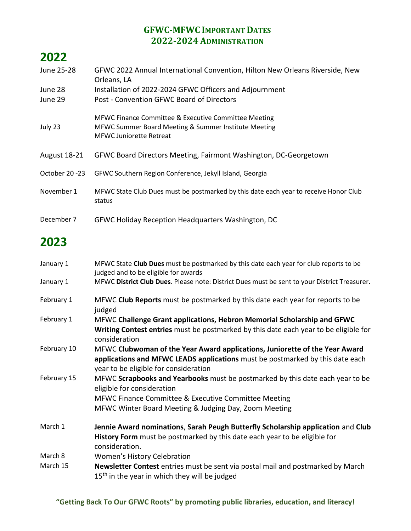#### **GFWC-MFWC IMPORTANT DATES 2022-2024 ADMINISTRATION**

# **2022**

| June 25-28     | GFWC 2022 Annual International Convention, Hilton New Orleans Riverside, New<br>Orleans, LA                                                    |
|----------------|------------------------------------------------------------------------------------------------------------------------------------------------|
| June 28        | Installation of 2022-2024 GFWC Officers and Adjournment                                                                                        |
| June 29        | Post - Convention GFWC Board of Directors                                                                                                      |
| July 23        | MFWC Finance Committee & Executive Committee Meeting<br>MFWC Summer Board Meeting & Summer Institute Meeting<br><b>MFWC Juniorette Retreat</b> |
| August 18-21   | GFWC Board Directors Meeting, Fairmont Washington, DC-Georgetown                                                                               |
| October 20 -23 | GFWC Southern Region Conference, Jekyll Island, Georgia                                                                                        |
| November 1     | MFWC State Club Dues must be postmarked by this date each year to receive Honor Club<br>status                                                 |
| December 7     | GFWC Holiday Reception Headquarters Washington, DC                                                                                             |

## **2023**

| MFWC State Club Dues must be postmarked by this date each year for club reports to be<br>judged and to be eligible for awards                                                                         |
|-------------------------------------------------------------------------------------------------------------------------------------------------------------------------------------------------------|
| MFWC District Club Dues. Please note: District Dues must be sent to your District Treasurer.                                                                                                          |
| MFWC Club Reports must be postmarked by this date each year for reports to be<br>judged                                                                                                               |
| MFWC Challenge Grant applications, Hebron Memorial Scholarship and GFWC<br>Writing Contest entries must be postmarked by this date each year to be eligible for<br>consideration                      |
| MFWC Clubwoman of the Year Award applications, Juniorette of the Year Award<br>applications and MFWC LEADS applications must be postmarked by this date each<br>year to be eligible for consideration |
| MFWC Scrapbooks and Yearbooks must be postmarked by this date each year to be<br>eligible for consideration                                                                                           |
| MFWC Finance Committee & Executive Committee Meeting                                                                                                                                                  |
| MFWC Winter Board Meeting & Judging Day, Zoom Meeting                                                                                                                                                 |
| Jennie Award nominations, Sarah Peugh Butterfly Scholarship application and Club<br>History Form must be postmarked by this date each year to be eligible for<br>consideration.                       |
| Women's History Celebration                                                                                                                                                                           |
| Newsletter Contest entries must be sent via postal mail and postmarked by March<br>$15th$ in the year in which they will be judged                                                                    |
|                                                                                                                                                                                                       |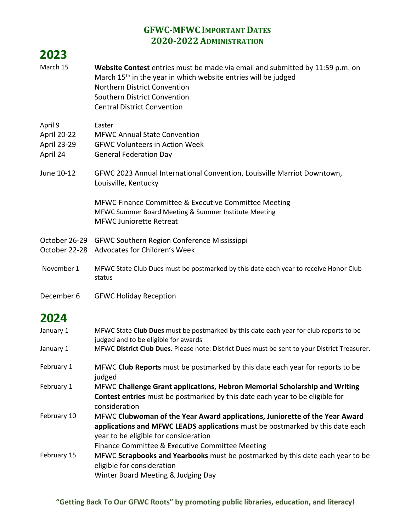#### **GFWC-MFWC IMPORTANT DATES 2020-2022 ADMINISTRATION**

| 2023                                              |                                                                                                                                                                                                                                                                   |
|---------------------------------------------------|-------------------------------------------------------------------------------------------------------------------------------------------------------------------------------------------------------------------------------------------------------------------|
| March 15                                          | Website Contest entries must be made via email and submitted by 11:59 p.m. on<br>March 15 <sup>th</sup> in the year in which website entries will be judged<br>Northern District Convention<br>Southern District Convention<br><b>Central District Convention</b> |
| April 9<br>April 20-22<br>April 23-29<br>April 24 | Easter<br><b>MFWC Annual State Convention</b><br><b>GFWC Volunteers in Action Week</b><br><b>General Federation Day</b>                                                                                                                                           |
| June 10-12                                        | GFWC 2023 Annual International Convention, Louisville Marriot Downtown,<br>Louisville, Kentucky                                                                                                                                                                   |
|                                                   | MFWC Finance Committee & Executive Committee Meeting<br>MFWC Summer Board Meeting & Summer Institute Meeting<br><b>MFWC Juniorette Retreat</b>                                                                                                                    |
|                                                   | October 26-29 GFWC Southern Region Conference Mississippi<br>October 22-28 Advocates for Children's Week                                                                                                                                                          |
| November 1                                        | MFWC State Club Dues must be postmarked by this date each year to receive Honor Club<br>status                                                                                                                                                                    |
| December 6                                        | <b>GFWC Holiday Reception</b>                                                                                                                                                                                                                                     |
| 2024                                              |                                                                                                                                                                                                                                                                   |
| January 1                                         | MFWC State Club Dues must be postmarked by this date each year for club reports to be<br>judged and to be eligible for awards                                                                                                                                     |
| January 1                                         | MFWC District Club Dues. Please note: District Dues must be sent to your District Treasurer.                                                                                                                                                                      |
| February 1                                        | MFWC Club Reports must be postmarked by this date each year for reports to be<br>judged                                                                                                                                                                           |
| February 1                                        | MFWC Challenge Grant applications, Hebron Memorial Scholarship and Writing<br>Contest entries must be postmarked by this date each year to be eligible for                                                                                                        |

- consideration
- February 10 MFWC **Clubwoman of the Year Award applications, Juniorette of the Year Award applications and MFWC LEADS applications** must be postmarked by this date each year to be eligible for consideration

Finance Committee & Executive Committee Meeting

February 15 MFWC **Scrapbooks and Yearbooks** must be postmarked by this date each year to be eligible for consideration Winter Board Meeting & Judging Day